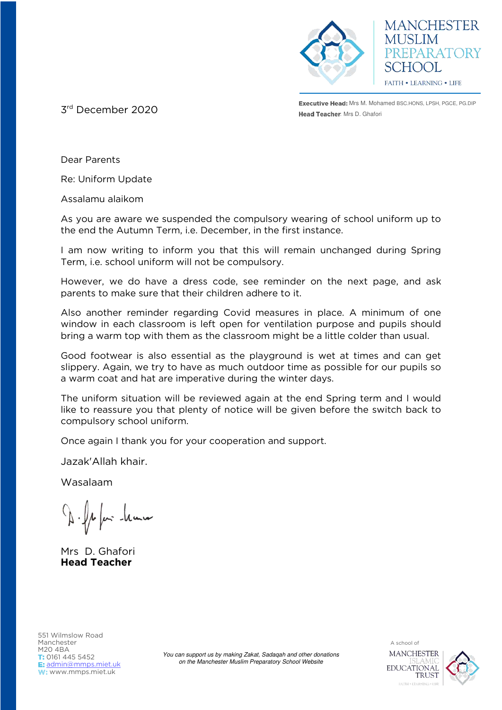



**Executive Head:** Mrs M. Mohamed BSC.HONS, LPSH, PGCE, PG.DIP **3rd** December 2020 **and Street Books and Street Books and Street Books and Street Books and Street Books and Street Books and Street Books and Street Books and Street Books and Street Books and Street Books and Street Boo** 

Dear Parents

Re: Uniform Update

Assalamu alaikom

As you are aware we suspended the compulsory wearing of school uniform up to the end the Autumn Term, i.e. December, in the first instance.

I am now writing to inform you that this will remain unchanged during Spring Term, i.e. school uniform will not be compulsory.

However, we do have a dress code, see reminder on the next page, and ask parents to make sure that their children adhere to it.

Also another reminder regarding Covid measures in place. A minimum of one window in each classroom is left open for ventilation purpose and pupils should bring a warm top with them as the classroom might be a little colder than usual.

Good footwear is also essential as the playground is wet at times and can get slippery. Again, we try to have as much outdoor time as possible for our pupils so a warm coat and hat are imperative during the winter days.

The uniform situation will be reviewed again at the end Spring term and I would like to reassure you that plenty of notice will be given before the switch back to compulsory school uniform.

Once again I thank you for your cooperation and support.

Jazak'Allah khair.

Wasalaam

1 fem - leurn

Mrs D. Ghafori **Head Teacher**